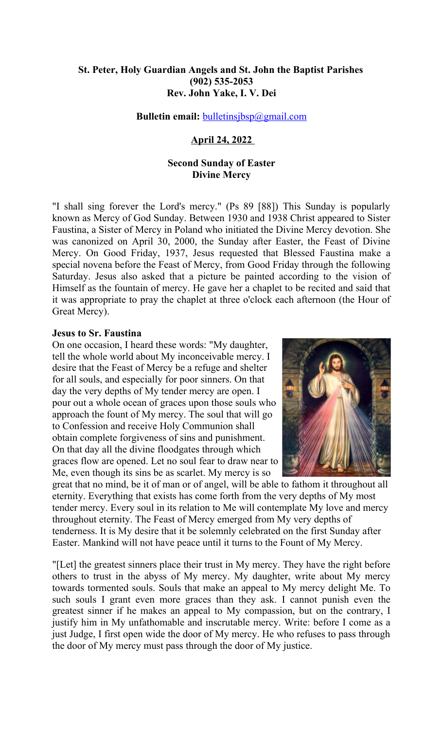## **St. Peter, Holy Guardian Angels and St. John the Baptist Parishes (902) 535-2053 Rev. John Yake, I. V. Dei**

### **Bulletin email:** [bulletinsjbsp@gmail.com](mailto:bulletinsjbsp@gmail.com)

## **April 24, 2022**

## **Second Sunday of Easter Divine Mercy**

"I shall sing forever the Lord's mercy." (Ps 89 [88]) This Sunday is popularly known as Mercy of God Sunday. Between 1930 and 1938 Christ appeared to Sister Faustina, a Sister of Mercy in Poland who initiated the Divine Mercy devotion. She was canonized on April 30, 2000, the Sunday after Easter, the Feast of Divine Mercy. On Good Friday, 1937, Jesus requested that Blessed Faustina make a special novena before the Feast of Mercy, from Good Friday through the following Saturday. Jesus also asked that a picture be painted according to the vision of Himself as the fountain of mercy. He gave her a chaplet to be recited and said that it was appropriate to pray the chaplet at three o'clock each afternoon (the Hour of Great Mercy).

### **Jesus to Sr. Faustina**

On one occasion, I heard these words: "My daughter, tell the whole world about My inconceivable mercy. I desire that the Feast of Mercy be a refuge and shelter for all souls, and especially for poor sinners. On that day the very depths of My tender mercy are open. I pour out a whole ocean of graces upon those souls who approach the fount of My mercy. The soul that will go to Confession and receive Holy Communion shall obtain complete forgiveness of sins and punishment. On that day all the divine floodgates through which graces flow are opened. Let no soul fear to draw near to Me, even though its sins be as scarlet. My mercy is so



great that no mind, be it of man or of angel, will be able to fathom it throughout all eternity. Everything that exists has come forth from the very depths of My most tender mercy. Every soul in its relation to Me will contemplate My love and mercy throughout eternity. The Feast of Mercy emerged from My very depths of tenderness. It is My desire that it be solemnly celebrated on the first Sunday after Easter. Mankind will not have peace until it turns to the Fount of My Mercy.

"[Let] the greatest sinners place their trust in My mercy. They have the right before others to trust in the abyss of My mercy. My daughter, write about My mercy towards tormented souls. Souls that make an appeal to My mercy delight Me. To such souls I grant even more graces than they ask. I cannot punish even the greatest sinner if he makes an appeal to My compassion, but on the contrary, I justify him in My unfathomable and inscrutable mercy. Write: before I come as a just Judge, I first open wide the door of My mercy. He who refuses to pass through the door of My mercy must pass through the door of My justice.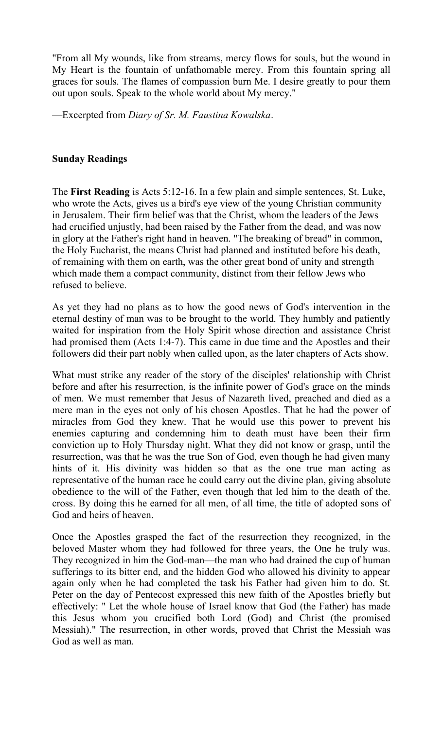"From all My wounds, like from streams, mercy flows for souls, but the wound in My Heart is the fountain of unfathomable mercy. From this fountain spring all graces for souls. The flames of compassion burn Me. I desire greatly to pour them out upon souls. Speak to the whole world about My mercy."

—Excerpted from *Diary of Sr. M. Faustina Kowalska*.

# **Sunday Readings**

The **First Reading** is Acts 5:12-16. In a few plain and simple sentences, St. Luke, who wrote the Acts, gives us a bird's eye view of the young Christian community in Jerusalem. Their firm belief was that the Christ, whom the leaders of the Jews had crucified unjustly, had been raised by the Father from the dead, and was now in glory at the Father's right hand in heaven. "The breaking of bread" in common, the Holy Eucharist, the means Christ had planned and instituted before his death, of remaining with them on earth, was the other great bond of unity and strength which made them a compact community, distinct from their fellow Jews who refused to believe.

As yet they had no plans as to how the good news of God's intervention in the eternal destiny of man was to be brought to the world. They humbly and patiently waited for inspiration from the Holy Spirit whose direction and assistance Christ had promised them (Acts 1:4-7). This came in due time and the Apostles and their followers did their part nobly when called upon, as the later chapters of Acts show.

What must strike any reader of the story of the disciples' relationship with Christ before and after his resurrection, is the infinite power of God's grace on the minds of men. We must remember that Jesus of Nazareth lived, preached and died as a mere man in the eyes not only of his chosen Apostles. That he had the power of miracles from God they knew. That he would use this power to prevent his enemies capturing and condemning him to death must have been their firm conviction up to Holy Thursday night. What they did not know or grasp, until the resurrection, was that he was the true Son of God, even though he had given many hints of it. His divinity was hidden so that as the one true man acting as representative of the human race he could carry out the divine plan, giving absolute obedience to the will of the Father, even though that led him to the death of the. cross. By doing this he earned for all men, of all time, the title of adopted sons of God and heirs of heaven.

Once the Apostles grasped the fact of the resurrection they recognized, in the beloved Master whom they had followed for three years, the One he truly was. They recognized in him the God-man—the man who had drained the cup of human sufferings to its bitter end, and the hidden God who allowed his divinity to appear again only when he had completed the task his Father had given him to do. St. Peter on the day of Pentecost expressed this new faith of the Apostles briefly but effectively: " Let the whole house of Israel know that God (the Father) has made this Jesus whom you crucified both Lord (God) and Christ (the promised Messiah)." The resurrection, in other words, proved that Christ the Messiah was God as well as man.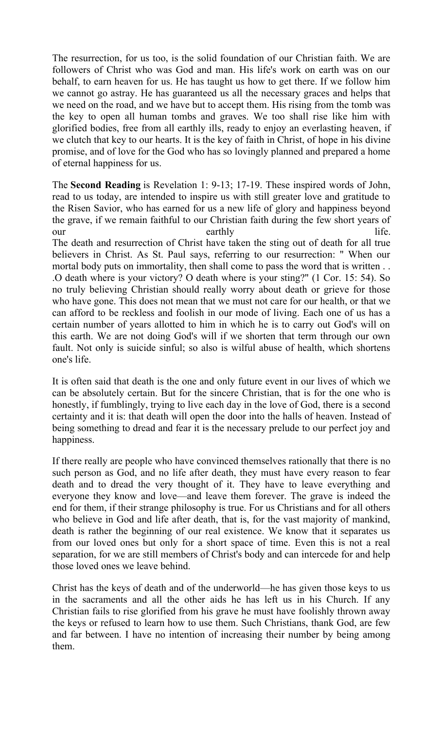The resurrection, for us too, is the solid foundation of our Christian faith. We are followers of Christ who was God and man. His life's work on earth was on our behalf, to earn heaven for us. He has taught us how to get there. If we follow him we cannot go astray. He has guaranteed us all the necessary graces and helps that we need on the road, and we have but to accept them. His rising from the tomb was the key to open all human tombs and graves. We too shall rise like him with glorified bodies, free from all earthly ills, ready to enjoy an everlasting heaven, if we clutch that key to our hearts. It is the key of faith in Christ, of hope in his divine promise, and of love for the God who has so lovingly planned and prepared a home of eternal happiness for us.

The **Second Reading** is Revelation 1: 9-13; 17-19. These inspired words of John, read to us today, are intended to inspire us with still greater love and gratitude to the Risen Savior, who has earned for us a new life of glory and happiness beyond the grave, if we remain faithful to our Christian faith during the few short years of our earthly life. The death and resurrection of Christ have taken the sting out of death for all true believers in Christ. As St. Paul says, referring to our resurrection: " When our mortal body puts on immortality, then shall come to pass the word that is written . . .O death where is your victory? O death where is your sting?" (1 Cor. 15: 54). So no truly believing Christian should really worry about death or grieve for those who have gone. This does not mean that we must not care for our health, or that we can afford to be reckless and foolish in our mode of living. Each one of us has a certain number of years allotted to him in which he is to carry out God's will on this earth. We are not doing God's will if we shorten that term through our own fault. Not only is suicide sinful; so also is wilful abuse of health, which shortens one's life.

It is often said that death is the one and only future event in our lives of which we can be absolutely certain. But for the sincere Christian, that is for the one who is honestly, if fumblingly, trying to live each day in the love of God, there is a second certainty and it is: that death will open the door into the halls of heaven. Instead of being something to dread and fear it is the necessary prelude to our perfect joy and happiness.

If there really are people who have convinced themselves rationally that there is no such person as God, and no life after death, they must have every reason to fear death and to dread the very thought of it. They have to leave everything and everyone they know and love—and leave them forever. The grave is indeed the end for them, if their strange philosophy is true. For us Christians and for all others who believe in God and life after death, that is, for the vast majority of mankind, death is rather the beginning of our real existence. We know that it separates us from our loved ones but only for a short space of time. Even this is not a real separation, for we are still members of Christ's body and can intercede for and help those loved ones we leave behind.

Christ has the keys of death and of the underworld—he has given those keys to us in the sacraments and all the other aids he has left us in his Church. If any Christian fails to rise glorified from his grave he must have foolishly thrown away the keys or refused to learn how to use them. Such Christians, thank God, are few and far between. I have no intention of increasing their number by being among them.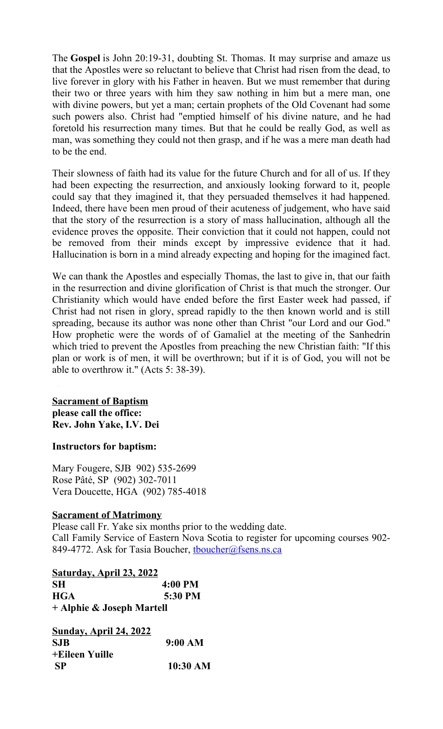The **Gospel** is John 20:19-31, doubting St. Thomas. It may surprise and amaze us that the Apostles were so reluctant to believe that Christ had risen from the dead, to live forever in glory with his Father in heaven. But we must remember that during their two or three years with him they saw nothing in him but a mere man, one with divine powers, but yet a man; certain prophets of the Old Covenant had some such powers also. Christ had "emptied himself of his divine nature, and he had foretold his resurrection many times. But that he could be really God, as well as man, was something they could not then grasp, and if he was a mere man death had to be the end.

Their slowness of faith had its value for the future Church and for all of us. If they had been expecting the resurrection, and anxiously looking forward to it, people could say that they imagined it, that they persuaded themselves it had happened. Indeed, there have been men proud of their acuteness of judgement, who have said that the story of the resurrection is a story of mass hallucination, although all the evidence proves the opposite. Their conviction that it could not happen, could not be removed from their minds except by impressive evidence that it had. Hallucination is born in a mind already expecting and hoping for the imagined fact.

We can thank the Apostles and especially Thomas, the last to give in, that our faith in the resurrection and divine glorification of Christ is that much the stronger. Our Christianity which would have ended before the first Easter week had passed, if Christ had not risen in glory, spread rapidly to the then known world and is still spreading, because its author was none other than Christ "our Lord and our God." How prophetic were the words of of Gamaliel at the meeting of the Sanhedrin which tried to prevent the Apostles from preaching the new Christian faith: "If this plan or work is of men, it will be overthrown; but if it is of God, you will not be able to overthrow it." (Acts 5: 38-39).

**Sacrament of Baptism please call the office: Rev. John Yake, I.V. Dei**

## **Instructors for baptism:**

Mary Fougere, SJB 902) 535-2699 Rose Pâté, SP (902) 302-7011 Vera Doucette, HGA (902) 785-4018

## **Sacrament of Matrimony**

Please call Fr. Yake six months prior to the wedding date. Call Family Service of Eastern Nova Scotia to register for upcoming courses 902- 849-4772. Ask for Tasia Boucher, thoucher@fsens.ns.ca

**Saturday, April 23, 2022**

| SН                        | $4:00$ PM |
|---------------------------|-----------|
| HGA                       | 5:30 PM   |
| + Alphie & Joseph Martell |           |

| <u>Sunday, April 24, 2022</u> |          |
|-------------------------------|----------|
| S.JB                          | 9:00 AM  |
| +Eileen Yuille                |          |
| <b>SP</b>                     | 10:30 AM |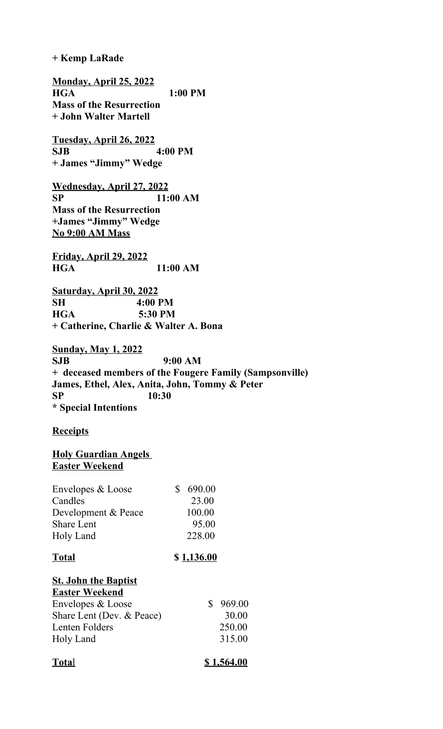**+ Kemp LaRade**

**Monday, April 25, 2022 HGA 1:00 PM Mass of the Resurrection + John Walter Martell**

**Tuesday, April 26, 2022 SJB 4:00 PM + James "Jimmy" Wedge**

**Wednesday, April 27, 2022 SP 11:00 AM Mass of the Resurrection +James "Jimmy" Wedge No 9:00 AM Mass**

**Friday, April 29, 2022 HGA 11:00 AM**

**Saturday, April 30, 2022 SH 4:00 PM HGA 5:30 PM + Catherine, Charlie & Walter A. Bona**

**Sunday, May 1, 2022 SJB 9:00 AM + deceased members of the Fougere Family (Sampsonville) James, Ethel, Alex, Anita, John, Tommy & Peter SP 10:30 \* Special Intentions**

## **Receipts**

# **Holy Guardian Angels Easter Weekend**

| Envelopes & Loose   | 690.00 |
|---------------------|--------|
| Candles             | 23.00  |
| Development & Peace | 100.00 |
| <b>Share Lent</b>   | 95.00  |
| Holy Land           | 228.00 |
|                     |        |

# **Total \$ 1,136.00**

## **St. John the Baptist**

| <b>Easter Weekend</b>     |               |        |
|---------------------------|---------------|--------|
| Envelopes & Loose         | $\mathcal{S}$ | 969.00 |
| Share Lent (Dev. & Peace) |               | 30.00  |
| Lenten Folders            |               | 250.00 |
| Holy Land                 |               | 315.00 |
|                           |               |        |

| Total | \$1,564.00 |
|-------|------------|
|       |            |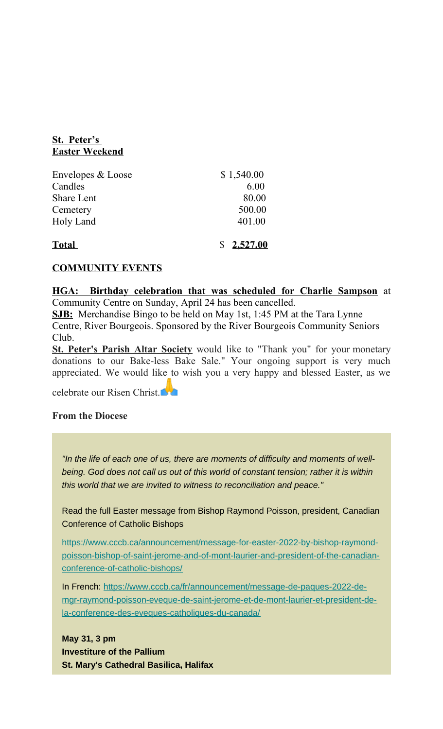## **St. Peter's Easter Weekend**

| Envelopes & Loose | \$1,540.00 |
|-------------------|------------|
| Candles           | 6.00       |
| Share Lent        | 80.00      |
| Cemetery          | 500.00     |
| Holy Land         | 401.00     |
| <b>Total</b>      | \$2,527.00 |

# **COMMUNITY EVENTS**

**HGA: Birthday celebration that was scheduled for Charlie Sampson** at Community Centre on Sunday, April 24 has been cancelled.

**SJB:** Merchandise Bingo to be held on May 1st, 1:45 PM at the Tara Lynne Centre, River Bourgeois. Sponsored by the River Bourgeois Community Seniors Club.

**St. Peter's Parish Altar Society** would like to "Thank you" for your monetary donations to our Bake-less Bake Sale." Your ongoing support is very much appreciated. We would like to wish you a very happy and blessed Easter, as we

celebrate our Risen Christ.

## **From the Diocese**

*"In the life of each one of us, there are moments of difficulty and moments of wellbeing. God does not call us out of this world of constant tension; rather it is within this world that we are invited to witness to reconciliation and peace."*

Read the full Easter message from Bishop Raymond Poisson, president, Canadian Conference of Catholic Bishops

[https://www.cccb.ca/announcement/message-for-easter-2022-by-bishop-raymond](https://antigonishdiocese.us11.list-manage.com/track/click?u=46108c95b96680ff598b4aa1d&id=a21d8c8c52&e=60939d450d)[poisson-bishop-of-saint-jerome-and-of-mont-laurier-and-president-of-the-canadian](https://antigonishdiocese.us11.list-manage.com/track/click?u=46108c95b96680ff598b4aa1d&id=a21d8c8c52&e=60939d450d)[conference-of-catholic-bishops/](https://antigonishdiocese.us11.list-manage.com/track/click?u=46108c95b96680ff598b4aa1d&id=a21d8c8c52&e=60939d450d)

In French: [https://www.cccb.ca/fr/announcement/message-de-paques-2022-de](https://antigonishdiocese.us11.list-manage.com/track/click?u=46108c95b96680ff598b4aa1d&id=a908ee28a1&e=60939d450d)[mgr-raymond-poisson-eveque-de-saint-jerome-et-de-mont-laurier-et-president-de](https://antigonishdiocese.us11.list-manage.com/track/click?u=46108c95b96680ff598b4aa1d&id=a908ee28a1&e=60939d450d)[la-conference-des-eveques-catholiques-du-canada/](https://antigonishdiocese.us11.list-manage.com/track/click?u=46108c95b96680ff598b4aa1d&id=a908ee28a1&e=60939d450d)

**May 31, 3 pm Investiture of the Pallium St. Mary's Cathedral Basilica, Halifax**